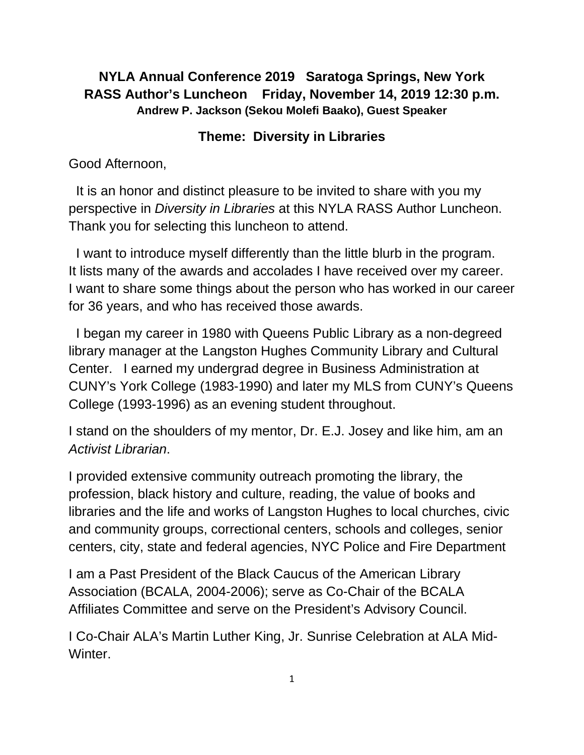### **NYLA Annual Conference 2019 Saratoga Springs, New York RASS Author's Luncheon Friday, November 14, 2019 12:30 p.m. Andrew P. Jackson (Sekou Molefi Baako), Guest Speaker**

### **Theme: Diversity in Libraries**

Good Afternoon,

 It is an honor and distinct pleasure to be invited to share with you my perspective in *Diversity in Libraries* at this NYLA RASS Author Luncheon. Thank you for selecting this luncheon to attend.

 I want to introduce myself differently than the little blurb in the program. It lists many of the awards and accolades I have received over my career. I want to share some things about the person who has worked in our career for 36 years, and who has received those awards.

 I began my career in 1980 with Queens Public Library as a non-degreed library manager at the Langston Hughes Community Library and Cultural Center. I earned my undergrad degree in Business Administration at CUNY's York College (1983-1990) and later my MLS from CUNY's Queens College (1993-1996) as an evening student throughout.

I stand on the shoulders of my mentor, Dr. E.J. Josey and like him, am an *Activist Librarian*.

I provided extensive community outreach promoting the library, the profession, black history and culture, reading, the value of books and libraries and the life and works of Langston Hughes to local churches, civic and community groups, correctional centers, schools and colleges, senior centers, city, state and federal agencies, NYC Police and Fire Department

I am a Past President of the Black Caucus of the American Library Association (BCALA, 2004-2006); serve as Co-Chair of the BCALA Affiliates Committee and serve on the President's Advisory Council.

I Co-Chair ALA's Martin Luther King, Jr. Sunrise Celebration at ALA Mid-Winter.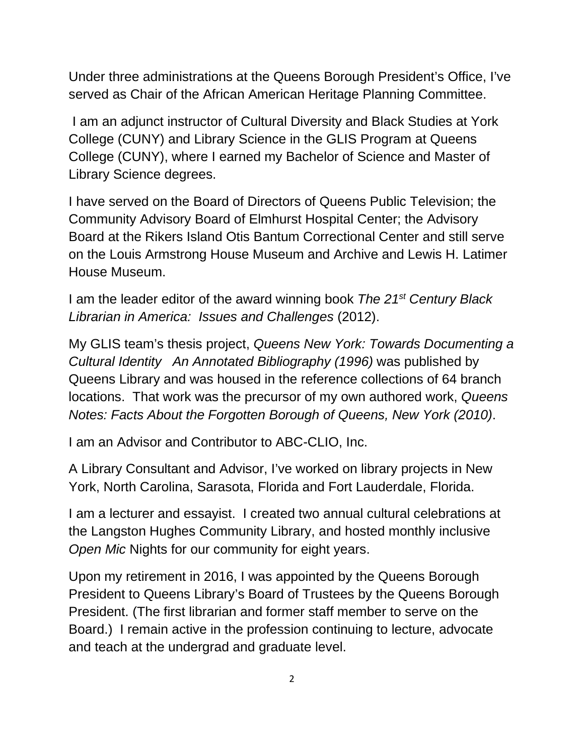Under three administrations at the Queens Borough President's Office, I've served as Chair of the African American Heritage Planning Committee.

I am an adjunct instructor of Cultural Diversity and Black Studies at York College (CUNY) and Library Science in the GLIS Program at Queens College (CUNY), where I earned my Bachelor of Science and Master of Library Science degrees.

I have served on the Board of Directors of Queens Public Television; the Community Advisory Board of Elmhurst Hospital Center; the Advisory Board at the Rikers Island Otis Bantum Correctional Center and still serve on the Louis Armstrong House Museum and Archive and Lewis H. Latimer House Museum.

I am the leader editor of the award winning book *The 21st Century Black Librarian in America: Issues and Challenges* (2012).

My GLIS team's thesis project, *Queens New York: Towards Documenting a Cultural Identity An Annotated Bibliography (1996)* was published by Queens Library and was housed in the reference collections of 64 branch locations. That work was the precursor of my own authored work, *Queens Notes: Facts About the Forgotten Borough of Queens, New York (2010)*.

I am an Advisor and Contributor to ABC-CLIO, Inc.

A Library Consultant and Advisor, I've worked on library projects in New York, North Carolina, Sarasota, Florida and Fort Lauderdale, Florida.

I am a lecturer and essayist. I created two annual cultural celebrations at the Langston Hughes Community Library, and hosted monthly inclusive *Open Mic* Nights for our community for eight years.

Upon my retirement in 2016, I was appointed by the Queens Borough President to Queens Library's Board of Trustees by the Queens Borough President. (The first librarian and former staff member to serve on the Board.) I remain active in the profession continuing to lecture, advocate and teach at the undergrad and graduate level.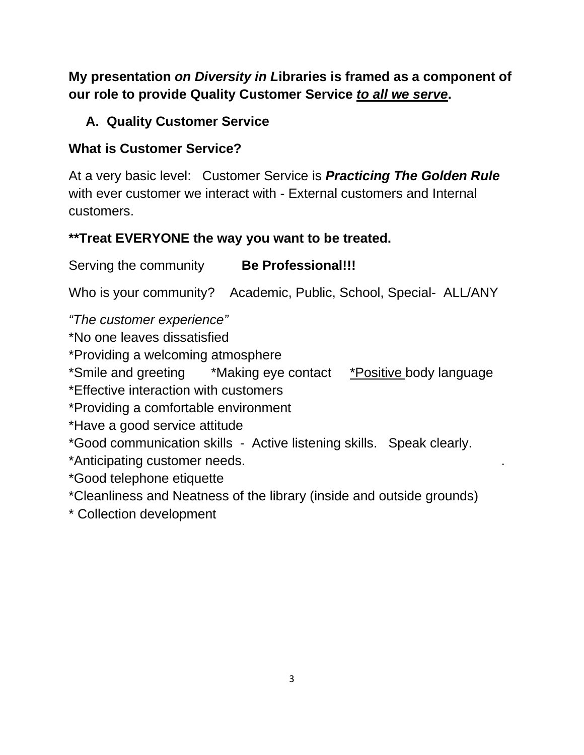**My presentation** *on Diversity in L***ibraries is framed as a component of our role to provide Quality Customer Service** *to all we serve***.**

# **A. Quality Customer Service**

# **What is Customer Service?**

At a very basic level: Customer Service is *Practicing The Golden Rule* with ever customer we interact with - External customers and Internal customers.

# **\*\*Treat EVERYONE the way you want to be treated.**

# Serving the community **Be Professional!!!**

Who is your community? Academic, Public, School, Special- ALL/ANY

*"The customer experience"*

\*No one leaves dissatisfied

\*Providing a welcoming atmosphere

\*Smile and greeting \*Making eye contact \*Positive body language

\*Effective interaction with customers

\*Providing a comfortable environment

\*Have a good service attitude

\*Good communication skills - Active listening skills. Speak clearly.

\*Anticipating customer needs. .

\*Good telephone etiquette

\*Cleanliness and Neatness of the library (inside and outside grounds)

\* Collection development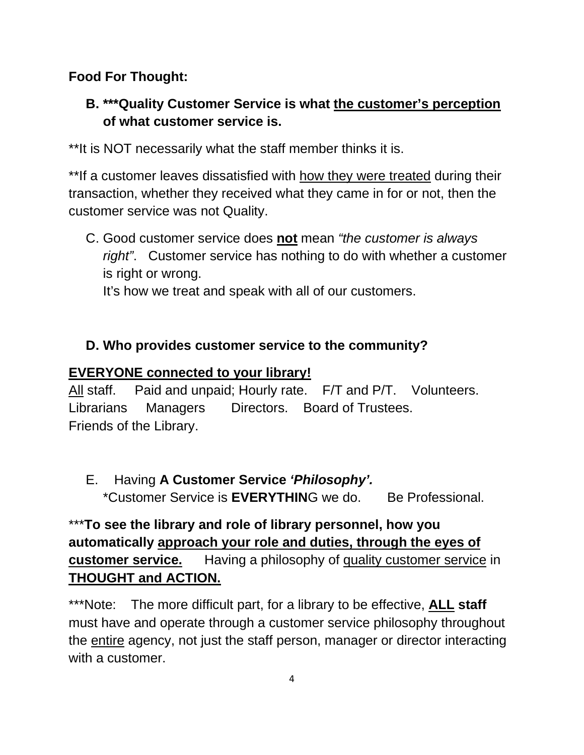**Food For Thought:** 

# **B. \*\*\*Quality Customer Service is what the customer's perception of what customer service is.**

\*\*It is NOT necessarily what the staff member thinks it is.

\*\*If a customer leaves dissatisfied with how they were treated during their transaction, whether they received what they came in for or not, then the customer service was not Quality.

C. Good customer service does **not** mean *"the customer is always right"*. Customer service has nothing to do with whether a customer is right or wrong.

It's how we treat and speak with all of our customers.

# **D. Who provides customer service to the community?**

# **EVERYONE connected to your library!**

All staff. Paid and unpaid; Hourly rate. F/T and P/T. Volunteers. Librarians Managers Directors. Board of Trustees. Friends of the Library.

E.Having **A Customer Service** *'Philosophy'.*  \*Customer Service is **EVERYTHIN**G we do. Be Professional.

# \*\*\***To see the library and role of library personnel, how you automatically approach your role and duties, through the eyes of customer service.** Having a philosophy of quality customer service in **THOUGHT and ACTION.**

\*\*\*Note: The more difficult part, for a library to be effective, **ALL staff** must have and operate through a customer service philosophy throughout the entire agency, not just the staff person, manager or director interacting with a customer.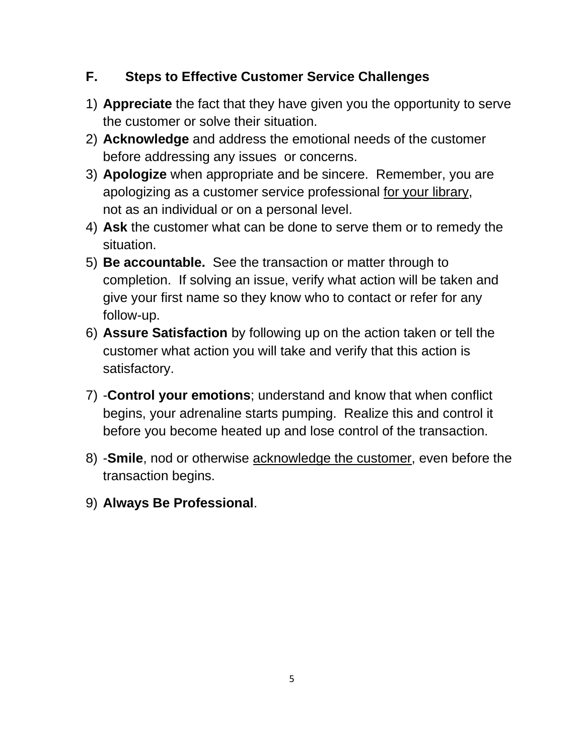### **F. Steps to Effective Customer Service Challenges**

- 1) **Appreciate** the fact that they have given you the opportunity to serve the customer or solve their situation.
- 2) **Acknowledge** and address the emotional needs of the customer before addressing any issues or concerns.
- 3) **Apologize** when appropriate and be sincere. Remember, you are apologizing as a customer service professional for your library, not as an individual or on a personal level.
- 4) **Ask** the customer what can be done to serve them or to remedy the situation.
- 5) **Be accountable.** See the transaction or matter through to completion. If solving an issue, verify what action will be taken and give your first name so they know who to contact or refer for any follow-up.
- 6) **Assure Satisfaction** by following up on the action taken or tell the customer what action you will take and verify that this action is satisfactory.
- 7) -**Control your emotions**; understand and know that when conflict begins, your adrenaline starts pumping. Realize this and control it before you become heated up and lose control of the transaction.
- 8) -**Smile**, nod or otherwise acknowledge the customer, even before the transaction begins.
- 9) **Always Be Professional**.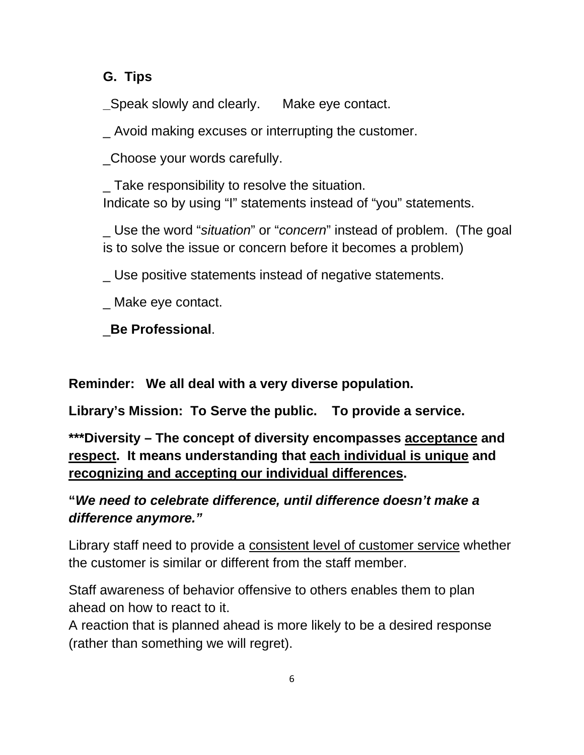### **G. Tips**

**\_**Speak slowly and clearly. Make eye contact.

\_ Avoid making excuses or interrupting the customer.

\_Choose your words carefully.

\_ Take responsibility to resolve the situation. Indicate so by using "I" statements instead of "you" statements.

\_ Use the word "*situation*" or "*concern*" instead of problem. (The goal is to solve the issue or concern before it becomes a problem)

\_ Use positive statements instead of negative statements.

\_ Make eye contact.

\_**Be Professional**.

**Reminder: We all deal with a very diverse population.**

**Library's Mission: To Serve the public. To provide a service.** 

**\*\*\*Diversity – The concept of diversity encompasses acceptance and respect. It means understanding that each individual is unique and recognizing and accepting our individual differences.**

# **"***We need to celebrate difference, until difference doesn't make a difference anymore."*

Library staff need to provide a consistent level of customer service whether the customer is similar or different from the staff member.

Staff awareness of behavior offensive to others enables them to plan ahead on how to react to it.

A reaction that is planned ahead is more likely to be a desired response (rather than something we will regret).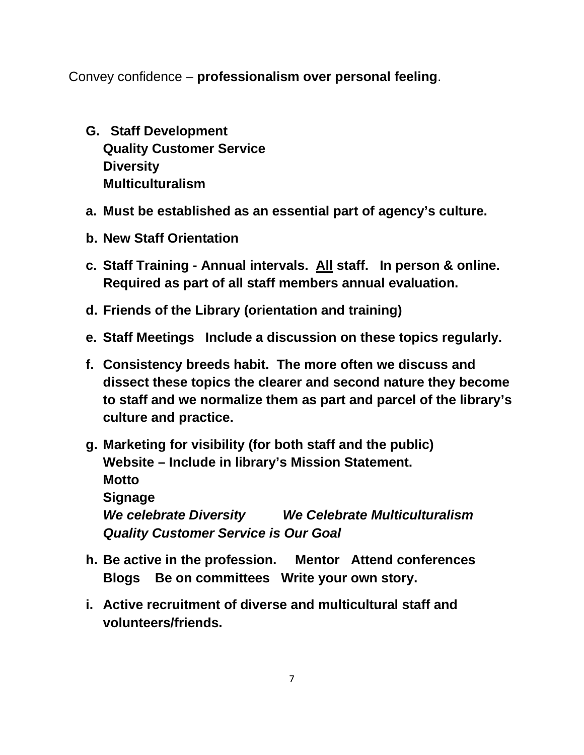Convey confidence – **professionalism over personal feeling**.

- **G. Staff Development Quality Customer Service Diversity Multiculturalism**
- **a. Must be established as an essential part of agency's culture.**
- **b. New Staff Orientation**
- **c. Staff Training - Annual intervals. All staff. In person & online. Required as part of all staff members annual evaluation.**
- **d. Friends of the Library (orientation and training)**
- **e. Staff Meetings Include a discussion on these topics regularly.**
- **f. Consistency breeds habit. The more often we discuss and dissect these topics the clearer and second nature they become to staff and we normalize them as part and parcel of the library's culture and practice.**
- **g. Marketing for visibility (for both staff and the public) Website – Include in library's Mission Statement. Motto Signage**  *We celebrate Diversity**We Celebrate Multiculturalism* *Quality Customer Service is Our Goal*
- **h. Be active in the profession. Mentor Attend conferences Blogs Be on committees Write your own story.**
- **i. Active recruitment of diverse and multicultural staff and volunteers/friends.**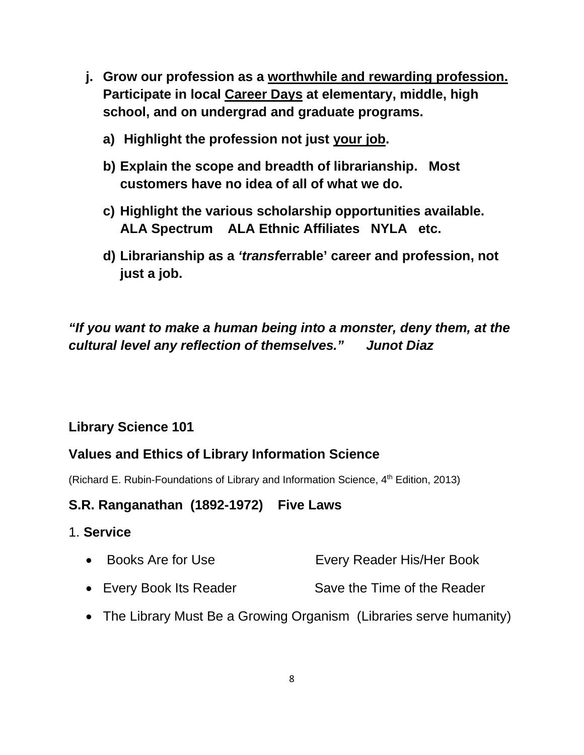- **j. Grow our profession as a worthwhile and rewarding profession. Participate in local Career Days at elementary, middle, high school, and on undergrad and graduate programs.** 
	- **a) Highlight the profession not just your job.**
	- **b) Explain the scope and breadth of librarianship. Most customers have no idea of all of what we do.**
	- **c) Highlight the various scholarship opportunities available. ALA Spectrum ALA Ethnic Affiliates NYLA etc.**
	- **d) Librarianship as a** *'transf***errable' career and profession, not just a job.**

### *"If you want to make a human being into a monster, deny them, at the cultural level any reflection of themselves." Junot Diaz*

### **Library Science 101**

### **Values and Ethics of Library Information Science**

(Richard E. Rubin-Foundations of Library and Information Science, 4<sup>th</sup> Edition, 2013)

### **S.R. Ranganathan (1892-1972) Five Laws**

#### 1. **Service**

- Books Are for Use Every Reader His/Her Book
- Every Book Its Reader Save the Time of the Reader
- The Library Must Be a Growing Organism (Libraries serve humanity)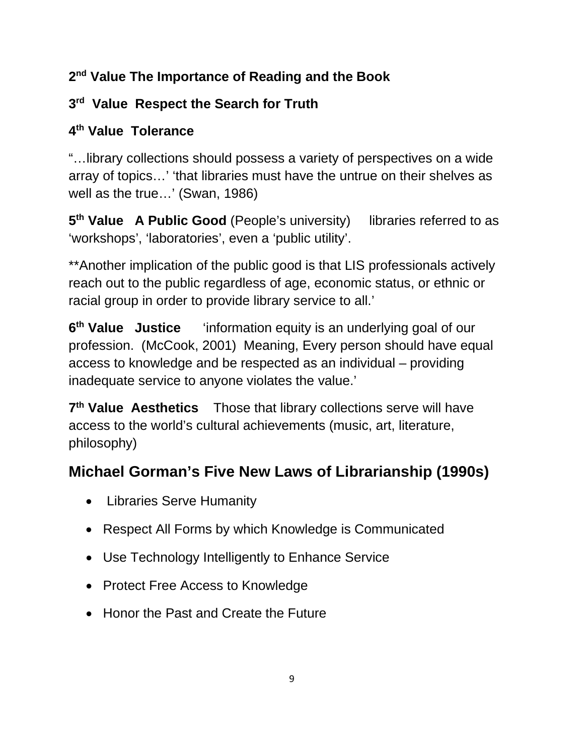# **2nd Value The Importance of Reading and the Book**

# **3rd Value Respect the Search for Truth**

# **4th Value Tolerance**

"…library collections should possess a variety of perspectives on a wide array of topics…' 'that libraries must have the untrue on their shelves as well as the true…' (Swan, 1986)

**5th Value A Public Good** (People's university) libraries referred to as 'workshops', 'laboratories', even a 'public utility'.

\*\*Another implication of the public good is that LIS professionals actively reach out to the public regardless of age, economic status, or ethnic or racial group in order to provide library service to all.'

**6th Value Justice** 'information equity is an underlying goal of our profession. (McCook, 2001) Meaning, Every person should have equal access to knowledge and be respected as an individual – providing inadequate service to anyone violates the value.'

**7th Value Aesthetics** Those that library collections serve will have access to the world's cultural achievements (music, art, literature, philosophy)

# **Michael Gorman's Five New Laws of Librarianship (1990s)**

- Libraries Serve Humanity
- Respect All Forms by which Knowledge is Communicated
- Use Technology Intelligently to Enhance Service
- Protect Free Access to Knowledge
- Honor the Past and Create the Future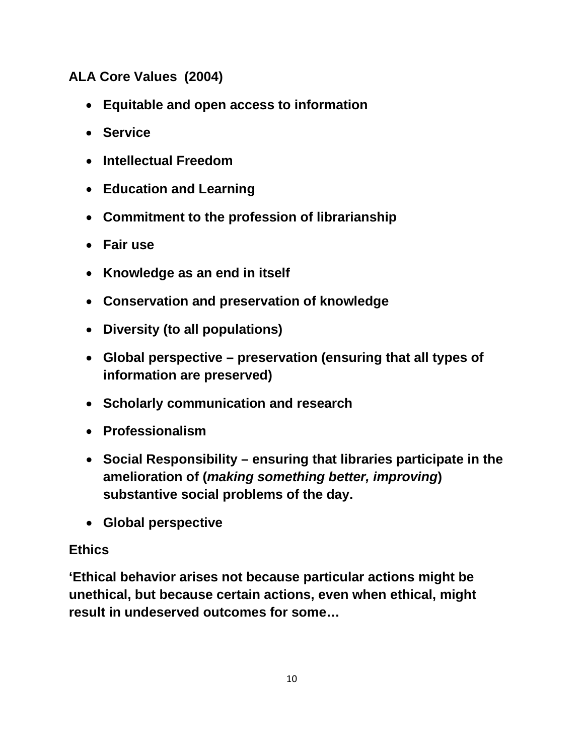**ALA Core Values (2004)**

- **Equitable and open access to information**
- **Service**
- **Intellectual Freedom**
- **Education and Learning**
- **Commitment to the profession of librarianship**
- **Fair use**
- **Knowledge as an end in itself**
- **Conservation and preservation of knowledge**
- **Diversity (to all populations)**
- **Global perspective – preservation (ensuring that all types of information are preserved)**
- **Scholarly communication and research**
- **Professionalism**
- **Social Responsibility – ensuring that libraries participate in the amelioration of (***making something better, improving***) substantive social problems of the day.**
- **Global perspective**

### **Ethics**

**'Ethical behavior arises not because particular actions might be unethical, but because certain actions, even when ethical, might result in undeserved outcomes for some…**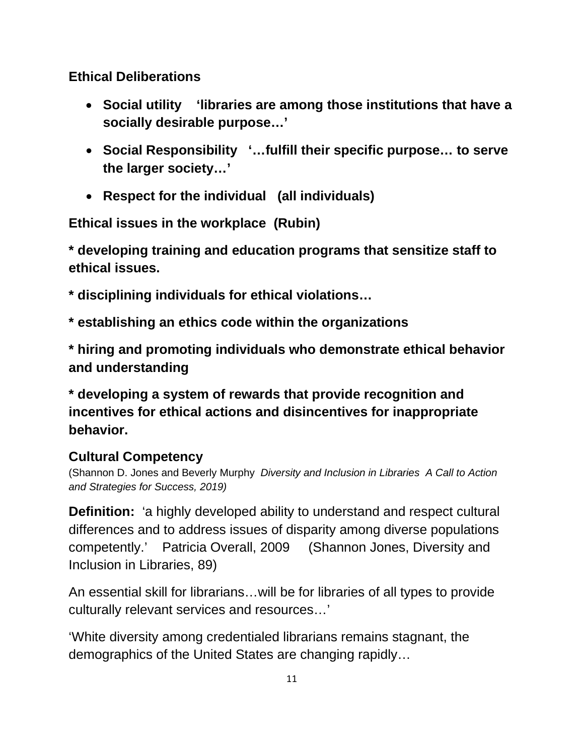### **Ethical Deliberations**

- **Social utility 'libraries are among those institutions that have a socially desirable purpose…'**
- **Social Responsibility '…fulfill their specific purpose… to serve the larger society…'**
- **Respect for the individual (all individuals)**

**Ethical issues in the workplace (Rubin)** 

**\* developing training and education programs that sensitize staff to ethical issues.**

**\* disciplining individuals for ethical violations…**

**\* establishing an ethics code within the organizations**

**\* hiring and promoting individuals who demonstrate ethical behavior and understanding**

**\* developing a system of rewards that provide recognition and incentives for ethical actions and disincentives for inappropriate behavior.**

### **Cultural Competency**

(Shannon D. Jones and Beverly Murphy *Diversity and Inclusion in Libraries A Call to Action and Strategies for Success, 2019)*

**Definition:** 'a highly developed ability to understand and respect cultural differences and to address issues of disparity among diverse populations competently.' Patricia Overall, 2009 (Shannon Jones, Diversity and Inclusion in Libraries, 89)

An essential skill for librarians…will be for libraries of all types to provide culturally relevant services and resources…'

'White diversity among credentialed librarians remains stagnant, the demographics of the United States are changing rapidly…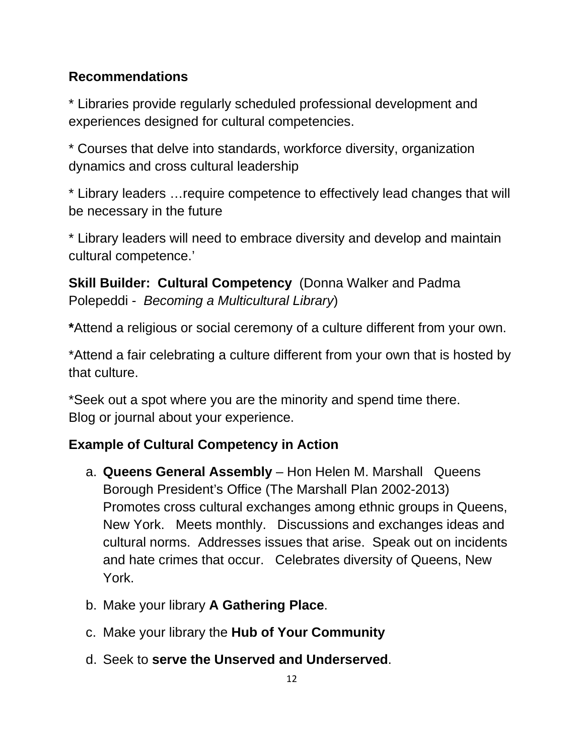### **Recommendations**

\* Libraries provide regularly scheduled professional development and experiences designed for cultural competencies.

\* Courses that delve into standards, workforce diversity, organization dynamics and cross cultural leadership

\* Library leaders …require competence to effectively lead changes that will be necessary in the future

\* Library leaders will need to embrace diversity and develop and maintain cultural competence.'

**Skill Builder: Cultural Competency (Donna Walker and Padma)** Polepeddi - *Becoming a Multicultural Library*)

**\***Attend a religious or social ceremony of a culture different from your own.

\*Attend a fair celebrating a culture different from your own that is hosted by that culture.

\*Seek out a spot where you are the minority and spend time there. Blog or journal about your experience.

# **Example of Cultural Competency in Action**

- a. **Queens General Assembly** Hon Helen M. Marshall Queens Borough President's Office (The Marshall Plan 2002-2013) Promotes cross cultural exchanges among ethnic groups in Queens, New York. Meets monthly. Discussions and exchanges ideas and cultural norms. Addresses issues that arise. Speak out on incidents and hate crimes that occur. Celebrates diversity of Queens, New York.
- b. Make your library **A Gathering Place**.
- c. Make your library the **Hub of Your Community**
- d. Seek to **serve the Unserved and Underserved**.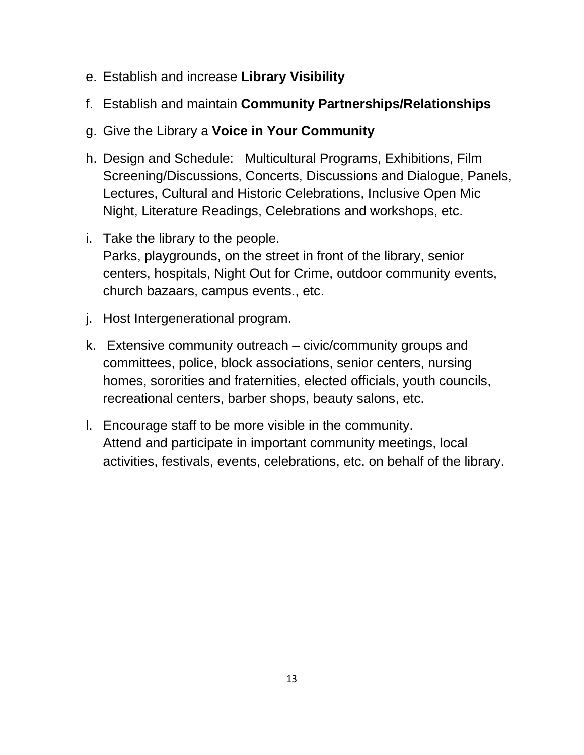- e. Establish and increase **Library Visibility**
- f. Establish and maintain **Community Partnerships/Relationships**
- g. Give the Library a **Voice in Your Community**
- h. Design and Schedule: Multicultural Programs, Exhibitions, Film Screening/Discussions, Concerts, Discussions and Dialogue, Panels, Lectures, Cultural and Historic Celebrations, Inclusive Open Mic Night, Literature Readings, Celebrations and workshops, etc.
- i. Take the library to the people. Parks, playgrounds, on the street in front of the library, senior centers, hospitals, Night Out for Crime, outdoor community events, church bazaars, campus events., etc.
- j. Host Intergenerational program.
- k. Extensive community outreach civic/community groups and committees, police, block associations, senior centers, nursing homes, sororities and fraternities, elected officials, youth councils, recreational centers, barber shops, beauty salons, etc.
- l. Encourage staff to be more visible in the community. Attend and participate in important community meetings, local activities, festivals, events, celebrations, etc. on behalf of the library.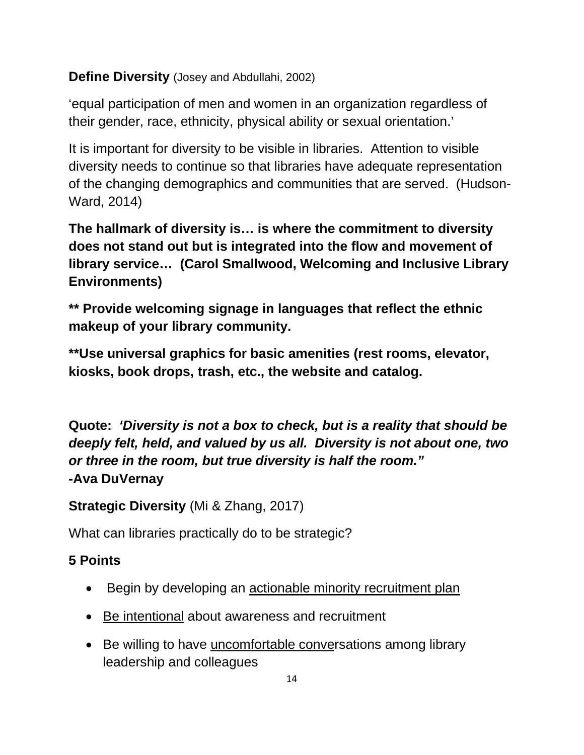### **Define Diversity** (Josey and Abdullahi, 2002)

'equal participation of men and women in an organization regardless of their gender, race, ethnicity, physical ability or sexual orientation.'

It is important for diversity to be visible in libraries. Attention to visible diversity needs to continue so that libraries have adequate representation of the changing demographics and communities that are served. (Hudson-Ward, 2014)

**The hallmark of diversity is… is where the commitment to diversity does not stand out but is integrated into the flow and movement of library service… (Carol Smallwood, Welcoming and Inclusive Library Environments)**

**\*\* Provide welcoming signage in languages that reflect the ethnic makeup of your library community.** 

**\*\*Use universal graphics for basic amenities (rest rooms, elevator, kiosks, book drops, trash, etc., the website and catalog.** 

**Quote:** *'Diversity is not a box to check, but is a reality that should be deeply felt, held, and valued by us all. Diversity is not about one, two or three in the room, but true diversity is half the room."*  **-Ava DuVernay**

**Strategic Diversity** (Mi & Zhang, 2017)

What can libraries practically do to be strategic?

# **5 Points**

- Begin by developing an actionable minority recruitment plan
- Be intentional about awareness and recruitment
- Be willing to have uncomfortable conversations among library leadership and colleagues